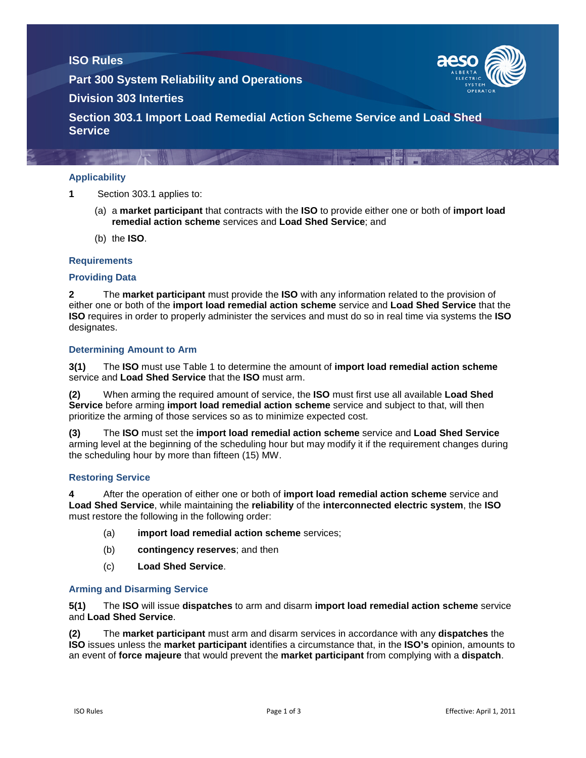# **ISO Rules**

**Part 300 System Reliability and Operations**



# **Division 303 Interties**

**Section 303.1 Import Load Remedial Action Scheme Service and Load Shed Service**

## **Applicability**

**1** Section 303.1 applies to:

- (a) a **market participant** that contracts with the **ISO** to provide either one or both of **import load remedial action scheme** services and **Load Shed Service**; and
- (b) the **ISO**.

### **Requirements**

### **Providing Data**

**2** The **market participant** must provide the **ISO** with any information related to the provision of either one or both of the **import load remedial action scheme** service and **Load Shed Service** that the **ISO** requires in order to properly administer the services and must do so in real time via systems the **ISO** designates.

#### **Determining Amount to Arm**

**3(1)** The **ISO** must use Table 1 to determine the amount of **import load remedial action scheme** service and **Load Shed Service** that the **ISO** must arm.

**(2)** When arming the required amount of service, the **ISO** must first use all available **Load Shed Service** before arming **import load remedial action scheme** service and subject to that, will then prioritize the arming of those services so as to minimize expected cost.

**(3)** The **ISO** must set the **import load remedial action scheme** service and **Load Shed Service** arming level at the beginning of the scheduling hour but may modify it if the requirement changes during the scheduling hour by more than fifteen (15) MW.

#### **Restoring Service**

**4** After the operation of either one or both of **import load remedial action scheme** service and **Load Shed Service**, while maintaining the **reliability** of the **interconnected electric system**, the **ISO** must restore the following in the following order:

- (a) **import load remedial action scheme** services;
- (b) **contingency reserves**; and then
- (c) **Load Shed Service**.

### **Arming and Disarming Service**

**5(1)** The **ISO** will issue **dispatches** to arm and disarm **import load remedial action scheme** service and **Load Shed Service**.

**(2)** The **market participant** must arm and disarm services in accordance with any **dispatches** the **ISO** issues unless the **market participant** identifies a circumstance that, in the **ISO's** opinion, amounts to an event of **force majeure** that would prevent the **market participant** from complying with a **dispatch**.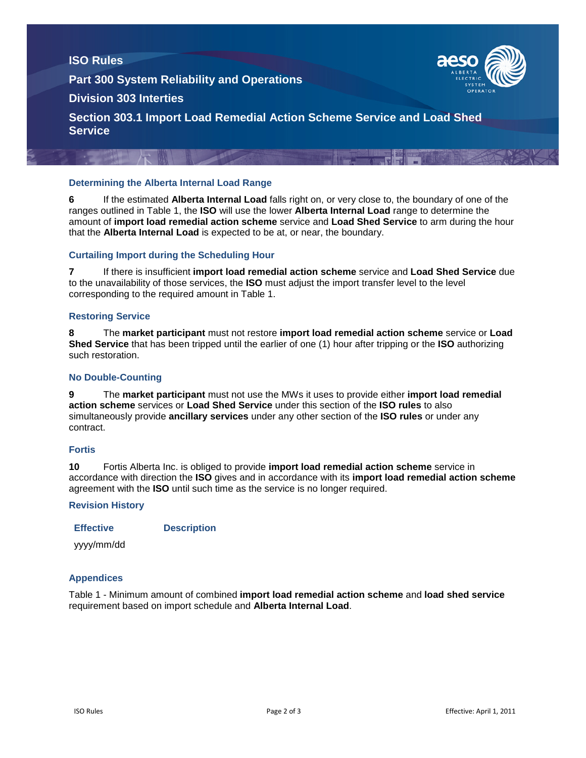## **ISO Rules**

**Part 300 System Reliability and Operations**



## **Division 303 Interties**

**Section 303.1 Import Load Remedial Action Scheme Service and Load Shed Service**

## **Determining the Alberta Internal Load Range**

**6** If the estimated **Alberta Internal Load** falls right on, or very close to, the boundary of one of the ranges outlined in Table 1, the **ISO** will use the lower **Alberta Internal Load** range to determine the amount of **import load remedial action scheme** service and **Load Shed Service** to arm during the hour that the **Alberta Internal Load** is expected to be at, or near, the boundary.

### **Curtailing Import during the Scheduling Hour**

**7** If there is insufficient **import load remedial action scheme** service and **Load Shed Service** due to the unavailability of those services, the **ISO** must adjust the import transfer level to the level corresponding to the required amount in Table 1.

### **Restoring Service**

**8** The **market participant** must not restore **import load remedial action scheme** service or **Load Shed Service** that has been tripped until the earlier of one (1) hour after tripping or the **ISO** authorizing such restoration.

#### **No Double-Counting**

**9** The **market participant** must not use the MWs it uses to provide either **import load remedial action scheme** services or **Load Shed Service** under this section of the **ISO rules** to also simultaneously provide **ancillary services** under any other section of the **ISO rules** or under any contract.

### **Fortis**

**10** Fortis Alberta Inc. is obliged to provide **import load remedial action scheme** service in accordance with direction the **ISO** gives and in accordance with its **import load remedial action scheme** agreement with the **ISO** until such time as the service is no longer required.

#### **Revision History**

**Effective Description**

yyyy/mm/dd

### **Appendices**

Table 1 - Minimum amount of combined **import load remedial action scheme** and **load shed service** requirement based on import schedule and **Alberta Internal Load**.